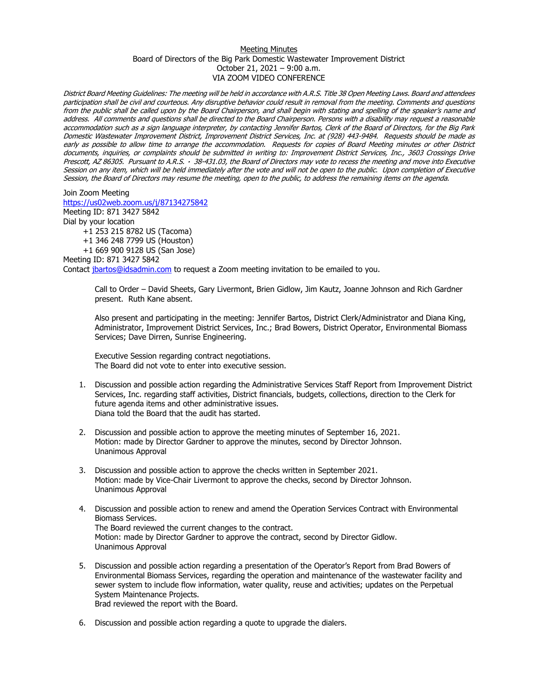## Meeting Minutes Board of Directors of the Big Park Domestic Wastewater Improvement District October 21, 2021 – 9:00 a.m. VIA ZOOM VIDEO CONFERENCE

District Board Meeting Guidelines: The meeting will be held in accordance with A.R.S. Title 38 Open Meeting Laws. Board and attendees participation shall be civil and courteous. Any disruptive behavior could result in removal from the meeting. Comments and questions from the public shall be called upon by the Board Chairperson, and shall begin with stating and spelling of the speaker's name and address. All comments and questions shall be directed to the Board Chairperson. Persons with a disability may request a reasonable accommodation such as a sign language interpreter, by contacting Jennifer Bartos, Clerk of the Board of Directors, for the Big Park Domestic Wastewater Improvement District, Improvement District Services, Inc. at (928) 443-9484. Requests should be made as early as possible to allow time to arrange the accommodation. Requests for copies of Board Meeting minutes or other District documents, inquiries, or complaints should be submitted in writing to: Improvement District Services, Inc., 3603 Crossings Drive Prescott, AZ 86305. Pursuant to A.R.S. · 38-431.03, the Board of Directors may vote to recess the meeting and move into Executive Session on any item, which will be held immediately after the vote and will not be open to the public. Upon completion of Executive Session, the Board of Directors may resume the meeting, open to the public, to address the remaining items on the agenda.

Join Zoom Meeting <https://us02web.zoom.us/j/87134275842>

Meeting ID: 871 3427 5842 Dial by your location

+1 253 215 8782 US (Tacoma) +1 346 248 7799 US (Houston) +1 669 900 9128 US (San Jose)

Meeting ID: 871 3427 5842

Contact [jbartos@idsadmin.com](mailto:jbartos@idsadmin.com) to request a Zoom meeting invitation to be emailed to you.

Call to Order – David Sheets, Gary Livermont, Brien Gidlow, Jim Kautz, Joanne Johnson and Rich Gardner present. Ruth Kane absent.

Also present and participating in the meeting: Jennifer Bartos, District Clerk/Administrator and Diana King, Administrator, Improvement District Services, Inc.; Brad Bowers, District Operator, Environmental Biomass Services; Dave Dirren, Sunrise Engineering.

Executive Session regarding contract negotiations. The Board did not vote to enter into executive session.

- 1. Discussion and possible action regarding the Administrative Services Staff Report from Improvement District Services, Inc. regarding staff activities, District financials, budgets, collections, direction to the Clerk for future agenda items and other administrative issues. Diana told the Board that the audit has started.
- 2. Discussion and possible action to approve the meeting minutes of September 16, 2021. Motion: made by Director Gardner to approve the minutes, second by Director Johnson. Unanimous Approval
- 3. Discussion and possible action to approve the checks written in September 2021. Motion: made by Vice-Chair Livermont to approve the checks, second by Director Johnson. Unanimous Approval
- 4. Discussion and possible action to renew and amend the Operation Services Contract with Environmental Biomass Services. The Board reviewed the current changes to the contract. Motion: made by Director Gardner to approve the contract, second by Director Gidlow. Unanimous Approval
- 5. Discussion and possible action regarding a presentation of the Operator's Report from Brad Bowers of Environmental Biomass Services, regarding the operation and maintenance of the wastewater facility and sewer system to include flow information, water quality, reuse and activities; updates on the Perpetual System Maintenance Projects.

Brad reviewed the report with the Board.

6. Discussion and possible action regarding a quote to upgrade the dialers.